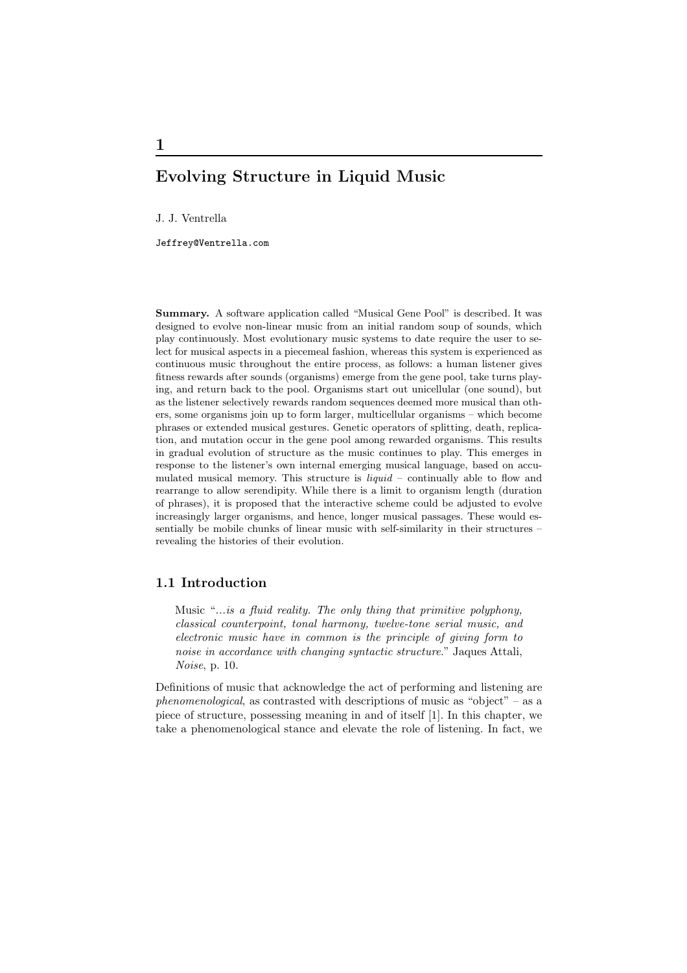# Evolving Structure in Liquid Music

J. J. Ventrella

Jeffrey@Ventrella.com

Summary. A software application called "Musical Gene Pool" is described. It was designed to evolve non-linear music from an initial random soup of sounds, which play continuously. Most evolutionary music systems to date require the user to select for musical aspects in a piecemeal fashion, whereas this system is experienced as continuous music throughout the entire process, as follows: a human listener gives fitness rewards after sounds (organisms) emerge from the gene pool, take turns playing, and return back to the pool. Organisms start out unicellular (one sound), but as the listener selectively rewards random sequences deemed more musical than others, some organisms join up to form larger, multicellular organisms – which become phrases or extended musical gestures. Genetic operators of splitting, death, replication, and mutation occur in the gene pool among rewarded organisms. This results in gradual evolution of structure as the music continues to play. This emerges in response to the listener's own internal emerging musical language, based on accumulated musical memory. This structure is  $liquid - continually$  able to flow and rearrange to allow serendipity. While there is a limit to organism length (duration of phrases), it is proposed that the interactive scheme could be adjusted to evolve increasingly larger organisms, and hence, longer musical passages. These would essentially be mobile chunks of linear music with self-similarity in their structures – revealing the histories of their evolution.

# 1.1 Introduction

Music "...is a fluid reality. The only thing that primitive polyphony, classical counterpoint, tonal harmony, twelve-tone serial music, and electronic music have in common is the principle of giving form to noise in accordance with changing syntactic structure." Jaques Attali, Noise, p. 10.

Definitions of music that acknowledge the act of performing and listening are phenomenological, as contrasted with descriptions of music as "object" – as a piece of structure, possessing meaning in and of itself [1]. In this chapter, we take a phenomenological stance and elevate the role of listening. In fact, we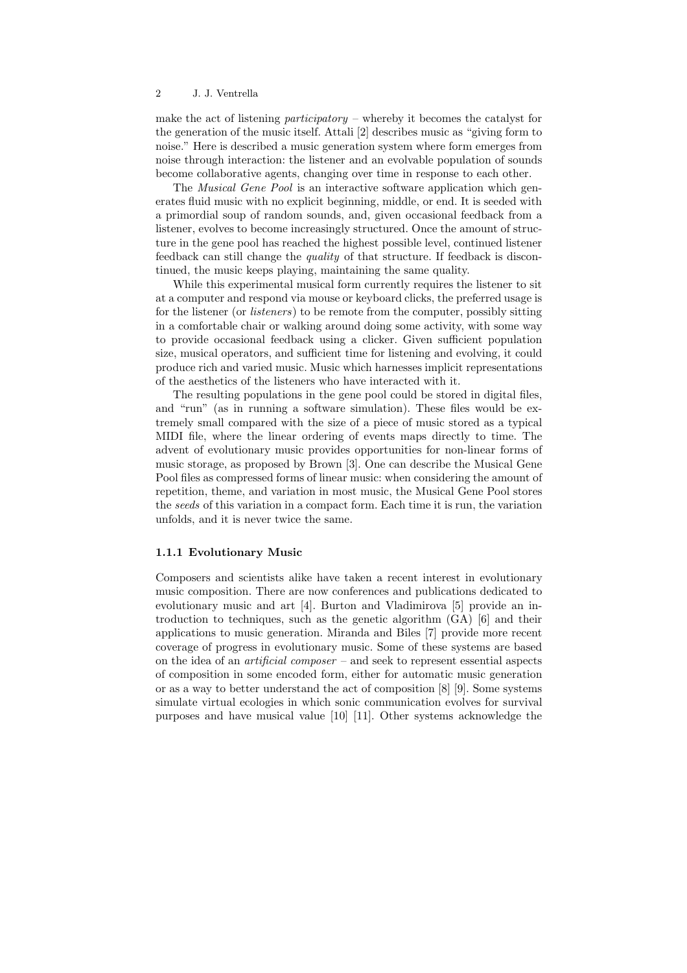make the act of listening *participatory* – whereby it becomes the catalyst for the generation of the music itself. Attali [2] describes music as "giving form to noise." Here is described a music generation system where form emerges from noise through interaction: the listener and an evolvable population of sounds become collaborative agents, changing over time in response to each other.

The *Musical Gene Pool* is an interactive software application which generates fluid music with no explicit beginning, middle, or end. It is seeded with a primordial soup of random sounds, and, given occasional feedback from a listener, evolves to become increasingly structured. Once the amount of structure in the gene pool has reached the highest possible level, continued listener feedback can still change the quality of that structure. If feedback is discontinued, the music keeps playing, maintaining the same quality.

While this experimental musical form currently requires the listener to sit at a computer and respond via mouse or keyboard clicks, the preferred usage is for the listener (or listeners) to be remote from the computer, possibly sitting in a comfortable chair or walking around doing some activity, with some way to provide occasional feedback using a clicker. Given sufficient population size, musical operators, and sufficient time for listening and evolving, it could produce rich and varied music. Music which harnesses implicit representations of the aesthetics of the listeners who have interacted with it.

The resulting populations in the gene pool could be stored in digital files, and "run" (as in running a software simulation). These files would be extremely small compared with the size of a piece of music stored as a typical MIDI file, where the linear ordering of events maps directly to time. The advent of evolutionary music provides opportunities for non-linear forms of music storage, as proposed by Brown [3]. One can describe the Musical Gene Pool files as compressed forms of linear music: when considering the amount of repetition, theme, and variation in most music, the Musical Gene Pool stores the seeds of this variation in a compact form. Each time it is run, the variation unfolds, and it is never twice the same.

#### 1.1.1 Evolutionary Music

Composers and scientists alike have taken a recent interest in evolutionary music composition. There are now conferences and publications dedicated to evolutionary music and art [4]. Burton and Vladimirova [5] provide an introduction to techniques, such as the genetic algorithm (GA) [6] and their applications to music generation. Miranda and Biles [7] provide more recent coverage of progress in evolutionary music. Some of these systems are based on the idea of an artificial composer – and seek to represent essential aspects of composition in some encoded form, either for automatic music generation or as a way to better understand the act of composition [8] [9]. Some systems simulate virtual ecologies in which sonic communication evolves for survival purposes and have musical value [10] [11]. Other systems acknowledge the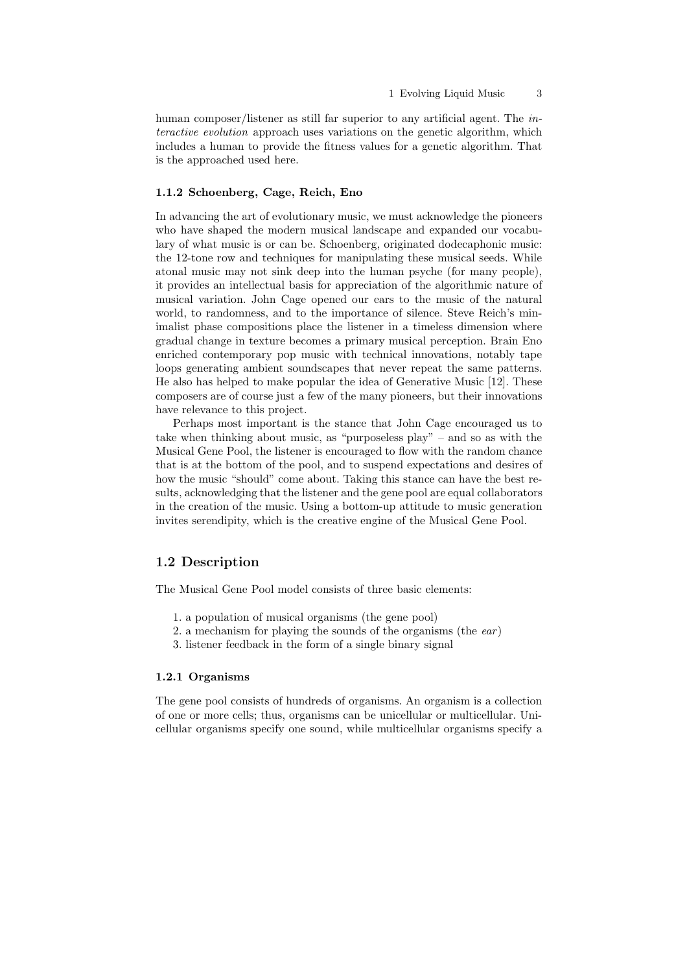human composer/listener as still far superior to any artificial agent. The *in*teractive evolution approach uses variations on the genetic algorithm, which includes a human to provide the fitness values for a genetic algorithm. That is the approached used here.

#### 1.1.2 Schoenberg, Cage, Reich, Eno

In advancing the art of evolutionary music, we must acknowledge the pioneers who have shaped the modern musical landscape and expanded our vocabulary of what music is or can be. Schoenberg, originated dodecaphonic music: the 12-tone row and techniques for manipulating these musical seeds. While atonal music may not sink deep into the human psyche (for many people), it provides an intellectual basis for appreciation of the algorithmic nature of musical variation. John Cage opened our ears to the music of the natural world, to randomness, and to the importance of silence. Steve Reich's minimalist phase compositions place the listener in a timeless dimension where gradual change in texture becomes a primary musical perception. Brain Eno enriched contemporary pop music with technical innovations, notably tape loops generating ambient soundscapes that never repeat the same patterns. He also has helped to make popular the idea of Generative Music [12]. These composers are of course just a few of the many pioneers, but their innovations have relevance to this project.

Perhaps most important is the stance that John Cage encouraged us to take when thinking about music, as "purposeless play" – and so as with the Musical Gene Pool, the listener is encouraged to flow with the random chance that is at the bottom of the pool, and to suspend expectations and desires of how the music "should" come about. Taking this stance can have the best results, acknowledging that the listener and the gene pool are equal collaborators in the creation of the music. Using a bottom-up attitude to music generation invites serendipity, which is the creative engine of the Musical Gene Pool.

# 1.2 Description

The Musical Gene Pool model consists of three basic elements:

- 1. a population of musical organisms (the gene pool)
- 2. a mechanism for playing the sounds of the organisms (the ear )
- 3. listener feedback in the form of a single binary signal

# 1.2.1 Organisms

The gene pool consists of hundreds of organisms. An organism is a collection of one or more cells; thus, organisms can be unicellular or multicellular. Unicellular organisms specify one sound, while multicellular organisms specify a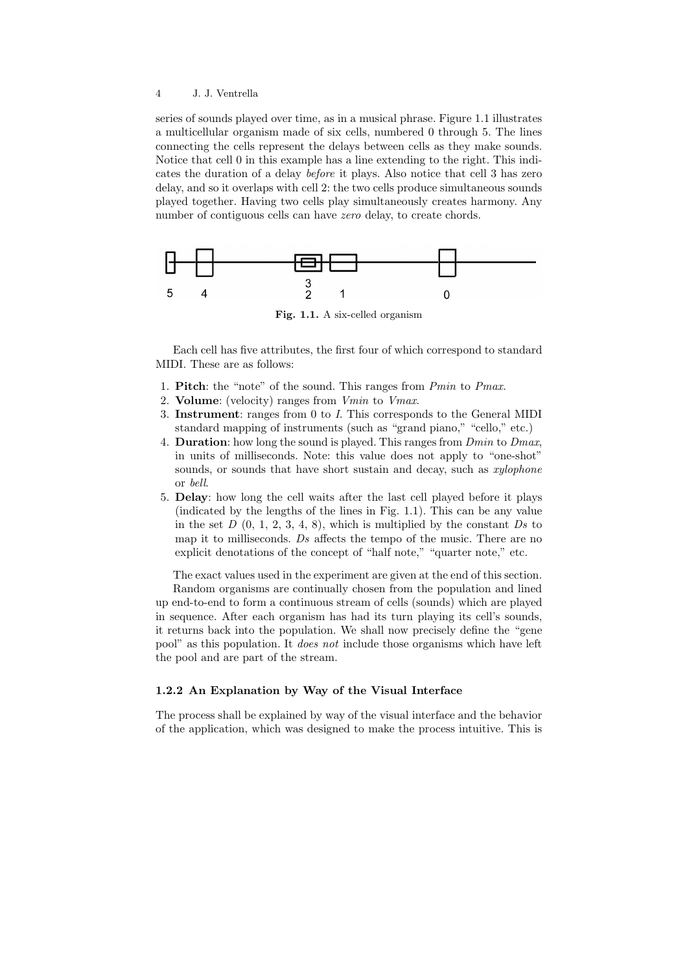series of sounds played over time, as in a musical phrase. Figure 1.1 illustrates a multicellular organism made of six cells, numbered 0 through 5. The lines connecting the cells represent the delays between cells as they make sounds. Notice that cell 0 in this example has a line extending to the right. This indicates the duration of a delay before it plays. Also notice that cell 3 has zero delay, and so it overlaps with cell 2: the two cells produce simultaneous sounds played together. Having two cells play simultaneously creates harmony. Any number of contiguous cells can have zero delay, to create chords.



Fig. 1.1. A six-celled organism

Each cell has five attributes, the first four of which correspond to standard MIDI. These are as follows:

- 1. Pitch: the "note" of the sound. This ranges from Pmin to Pmax.
- 2. Volume: (velocity) ranges from Vmin to Vmax.
- 3. Instrument: ranges from 0 to I. This corresponds to the General MIDI standard mapping of instruments (such as "grand piano," "cello," etc.)
- 4. **Duration**: how long the sound is played. This ranges from  $Dmin$  to  $Dmax$ , in units of milliseconds. Note: this value does not apply to "one-shot" sounds, or sounds that have short sustain and decay, such as *xylophone* or bell.
- 5. Delay: how long the cell waits after the last cell played before it plays (indicated by the lengths of the lines in Fig. 1.1). This can be any value in the set  $D(0, 1, 2, 3, 4, 8)$ , which is multiplied by the constant  $Ds$  to map it to milliseconds. Ds affects the tempo of the music. There are no explicit denotations of the concept of "half note," "quarter note," etc.

The exact values used in the experiment are given at the end of this section. Random organisms are continually chosen from the population and lined up end-to-end to form a continuous stream of cells (sounds) which are played in sequence. After each organism has had its turn playing its cell's sounds, it returns back into the population. We shall now precisely define the "gene pool" as this population. It does not include those organisms which have left the pool and are part of the stream.

### 1.2.2 An Explanation by Way of the Visual Interface

The process shall be explained by way of the visual interface and the behavior of the application, which was designed to make the process intuitive. This is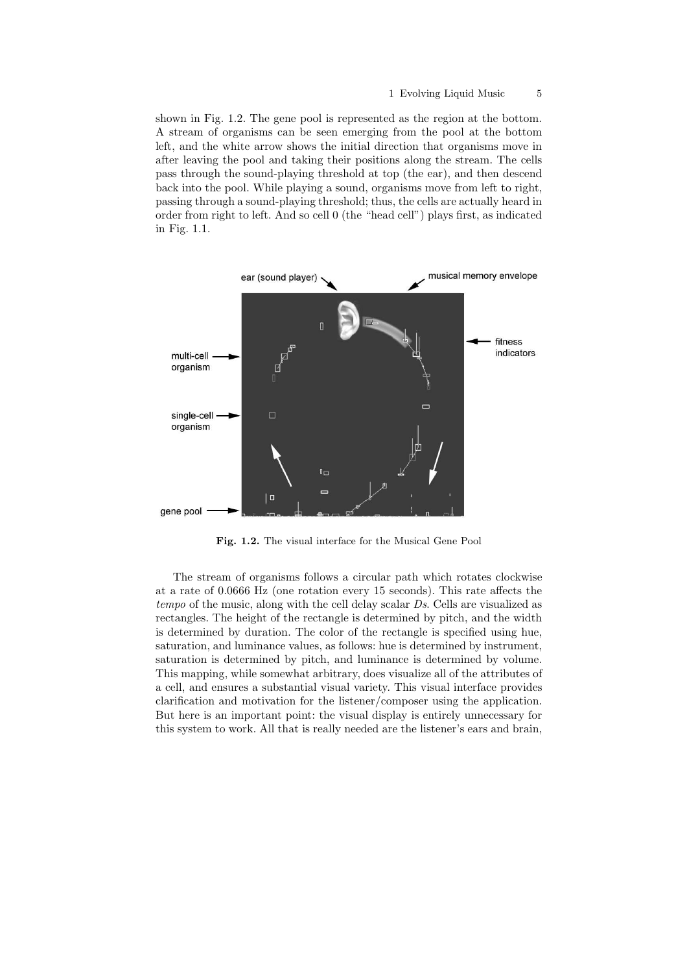shown in Fig. 1.2. The gene pool is represented as the region at the bottom. A stream of organisms can be seen emerging from the pool at the bottom left, and the white arrow shows the initial direction that organisms move in after leaving the pool and taking their positions along the stream. The cells pass through the sound-playing threshold at top (the ear), and then descend back into the pool. While playing a sound, organisms move from left to right, passing through a sound-playing threshold; thus, the cells are actually heard in order from right to left. And so cell 0 (the "head cell") plays first, as indicated in Fig. 1.1.



Fig. 1.2. The visual interface for the Musical Gene Pool

The stream of organisms follows a circular path which rotates clockwise at a rate of 0.0666 Hz (one rotation every 15 seconds). This rate affects the tempo of the music, along with the cell delay scalar Ds. Cells are visualized as rectangles. The height of the rectangle is determined by pitch, and the width is determined by duration. The color of the rectangle is specified using hue, saturation, and luminance values, as follows: hue is determined by instrument, saturation is determined by pitch, and luminance is determined by volume. This mapping, while somewhat arbitrary, does visualize all of the attributes of a cell, and ensures a substantial visual variety. This visual interface provides clarification and motivation for the listener/composer using the application. But here is an important point: the visual display is entirely unnecessary for this system to work. All that is really needed are the listener's ears and brain,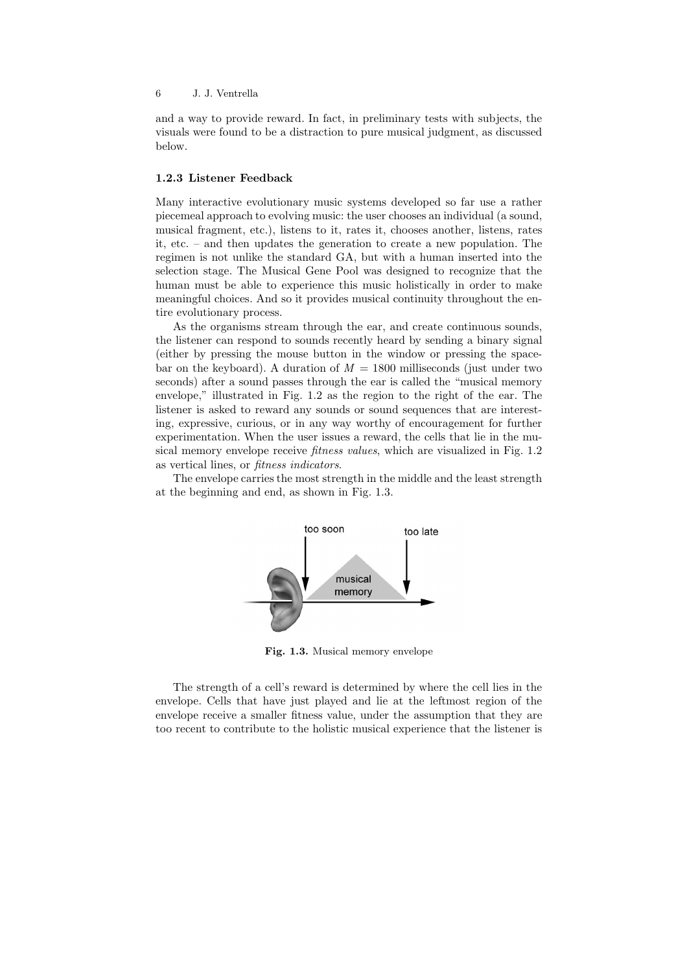and a way to provide reward. In fact, in preliminary tests with subjects, the visuals were found to be a distraction to pure musical judgment, as discussed below.

#### 1.2.3 Listener Feedback

Many interactive evolutionary music systems developed so far use a rather piecemeal approach to evolving music: the user chooses an individual (a sound, musical fragment, etc.), listens to it, rates it, chooses another, listens, rates it, etc. – and then updates the generation to create a new population. The regimen is not unlike the standard GA, but with a human inserted into the selection stage. The Musical Gene Pool was designed to recognize that the human must be able to experience this music holistically in order to make meaningful choices. And so it provides musical continuity throughout the entire evolutionary process.

As the organisms stream through the ear, and create continuous sounds, the listener can respond to sounds recently heard by sending a binary signal (either by pressing the mouse button in the window or pressing the spacebar on the keyboard). A duration of  $M = 1800$  milliseconds (just under two seconds) after a sound passes through the ear is called the "musical memory envelope," illustrated in Fig. 1.2 as the region to the right of the ear. The listener is asked to reward any sounds or sound sequences that are interesting, expressive, curious, or in any way worthy of encouragement for further experimentation. When the user issues a reward, the cells that lie in the musical memory envelope receive fitness values, which are visualized in Fig. 1.2 as vertical lines, or fitness indicators.

The envelope carries the most strength in the middle and the least strength at the beginning and end, as shown in Fig. 1.3.



Fig. 1.3. Musical memory envelope

The strength of a cell's reward is determined by where the cell lies in the envelope. Cells that have just played and lie at the leftmost region of the envelope receive a smaller fitness value, under the assumption that they are too recent to contribute to the holistic musical experience that the listener is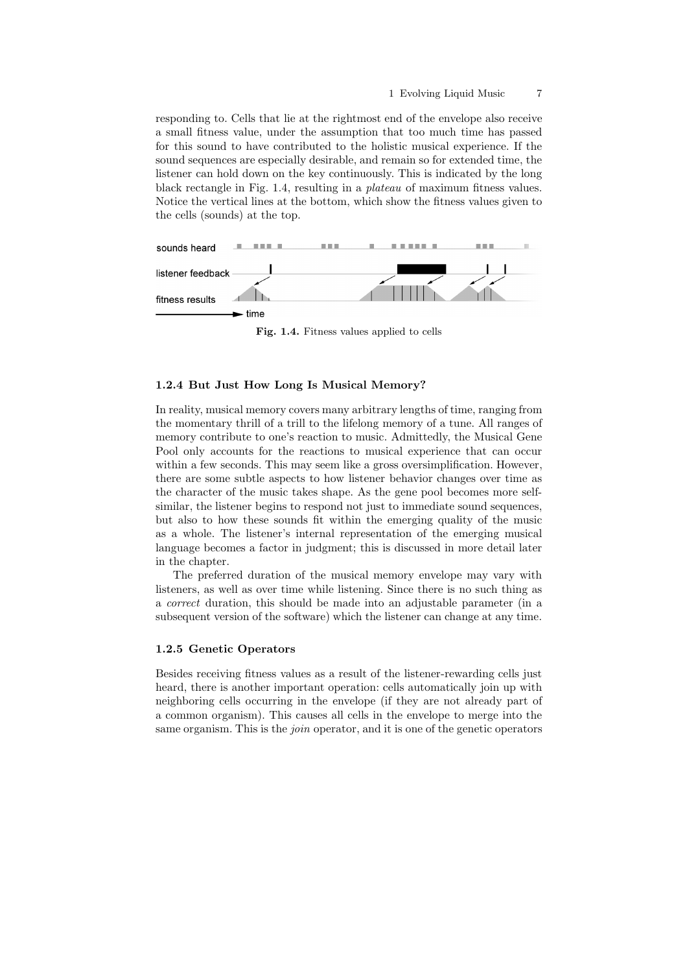responding to. Cells that lie at the rightmost end of the envelope also receive a small fitness value, under the assumption that too much time has passed for this sound to have contributed to the holistic musical experience. If the sound sequences are especially desirable, and remain so for extended time, the listener can hold down on the key continuously. This is indicated by the long black rectangle in Fig. 1.4, resulting in a plateau of maximum fitness values. Notice the vertical lines at the bottom, which show the fitness values given to the cells (sounds) at the top.



Fig. 1.4. Fitness values applied to cells

#### 1.2.4 But Just How Long Is Musical Memory?

In reality, musical memory covers many arbitrary lengths of time, ranging from the momentary thrill of a trill to the lifelong memory of a tune. All ranges of memory contribute to one's reaction to music. Admittedly, the Musical Gene Pool only accounts for the reactions to musical experience that can occur within a few seconds. This may seem like a gross oversimplification. However, there are some subtle aspects to how listener behavior changes over time as the character of the music takes shape. As the gene pool becomes more selfsimilar, the listener begins to respond not just to immediate sound sequences, but also to how these sounds fit within the emerging quality of the music as a whole. The listener's internal representation of the emerging musical language becomes a factor in judgment; this is discussed in more detail later in the chapter.

The preferred duration of the musical memory envelope may vary with listeners, as well as over time while listening. Since there is no such thing as a correct duration, this should be made into an adjustable parameter (in a subsequent version of the software) which the listener can change at any time.

# 1.2.5 Genetic Operators

Besides receiving fitness values as a result of the listener-rewarding cells just heard, there is another important operation: cells automatically join up with neighboring cells occurring in the envelope (if they are not already part of a common organism). This causes all cells in the envelope to merge into the same organism. This is the *join* operator, and it is one of the genetic operators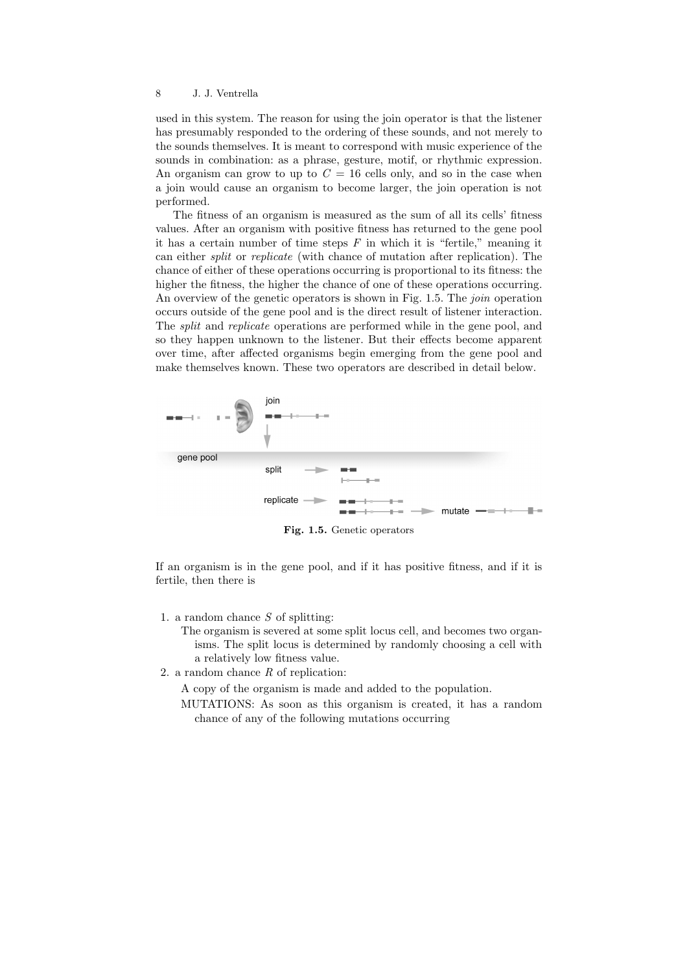used in this system. The reason for using the join operator is that the listener has presumably responded to the ordering of these sounds, and not merely to the sounds themselves. It is meant to correspond with music experience of the sounds in combination: as a phrase, gesture, motif, or rhythmic expression. An organism can grow to up to  $C = 16$  cells only, and so in the case when a join would cause an organism to become larger, the join operation is not performed.

The fitness of an organism is measured as the sum of all its cells' fitness values. After an organism with positive fitness has returned to the gene pool it has a certain number of time steps  $F$  in which it is "fertile," meaning it can either split or replicate (with chance of mutation after replication). The chance of either of these operations occurring is proportional to its fitness: the higher the fitness, the higher the chance of one of these operations occurring. An overview of the genetic operators is shown in Fig. 1.5. The *join* operation occurs outside of the gene pool and is the direct result of listener interaction. The *split* and *replicate* operations are performed while in the gene pool, and so they happen unknown to the listener. But their effects become apparent over time, after affected organisms begin emerging from the gene pool and make themselves known. These two operators are described in detail below.



If an organism is in the gene pool, and if it has positive fitness, and if it is fertile, then there is

1. a random chance  $S$  of splitting:

The organism is severed at some split locus cell, and becomes two organisms. The split locus is determined by randomly choosing a cell with a relatively low fitness value.

2. a random chance  $R$  of replication:

A copy of the organism is made and added to the population.

MUTATIONS: As soon as this organism is created, it has a random chance of any of the following mutations occurring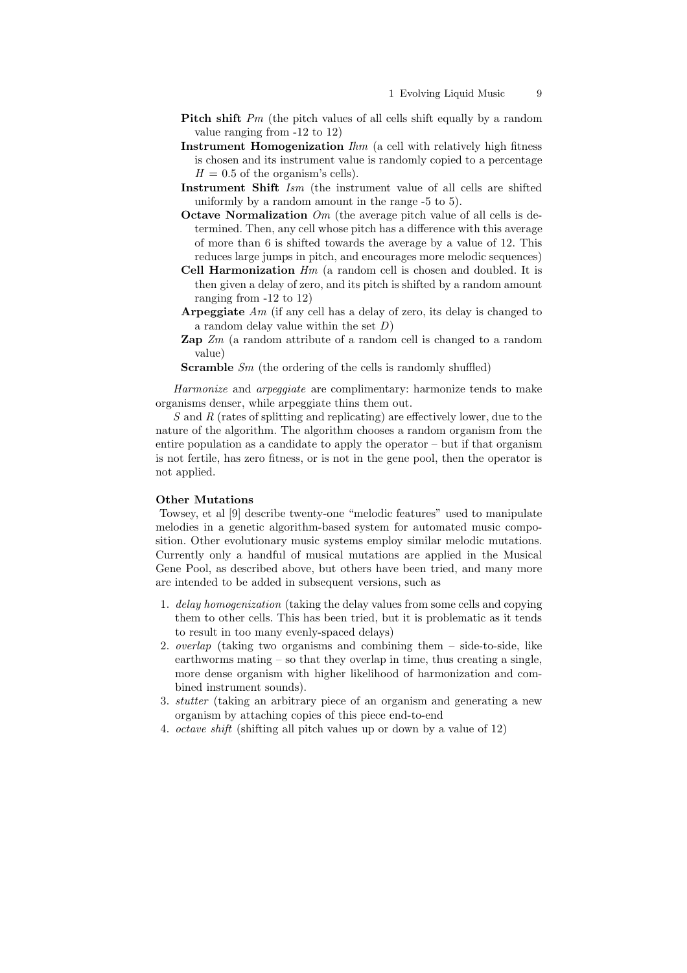- **Pitch shift** Pm (the pitch values of all cells shift equally by a random value ranging from -12 to 12)
- Instrument Homogenization Ihm (a cell with relatively high fitness is chosen and its instrument value is randomly copied to a percentage  $H = 0.5$  of the organism's cells).
- Instrument Shift Ism (the instrument value of all cells are shifted uniformly by a random amount in the range -5 to 5).
- Octave Normalization  $Om$  (the average pitch value of all cells is determined. Then, any cell whose pitch has a difference with this average of more than 6 is shifted towards the average by a value of 12. This reduces large jumps in pitch, and encourages more melodic sequences)
- Cell Harmonization  $Hm$  (a random cell is chosen and doubled. It is then given a delay of zero, and its pitch is shifted by a random amount ranging from -12 to 12)
- **Arpeggiate**  $Am$  (if any cell has a delay of zero, its delay is changed to a random delay value within the set  $D$ )
- Zap  $Zm$  (a random attribute of a random cell is changed to a random value)
- **Scramble**  $Sm$  (the ordering of the cells is randomly shuffled)

Harmonize and arpeggiate are complimentary: harmonize tends to make organisms denser, while arpeggiate thins them out.

 $S$  and  $R$  (rates of splitting and replicating) are effectively lower, due to the nature of the algorithm. The algorithm chooses a random organism from the entire population as a candidate to apply the operator – but if that organism is not fertile, has zero fitness, or is not in the gene pool, then the operator is not applied.

#### Other Mutations

Towsey, et al [9] describe twenty-one "melodic features" used to manipulate melodies in a genetic algorithm-based system for automated music composition. Other evolutionary music systems employ similar melodic mutations. Currently only a handful of musical mutations are applied in the Musical Gene Pool, as described above, but others have been tried, and many more are intended to be added in subsequent versions, such as

- 1. delay homogenization (taking the delay values from some cells and copying them to other cells. This has been tried, but it is problematic as it tends to result in too many evenly-spaced delays)
- 2. overlap (taking two organisms and combining them side-to-side, like earthworms mating – so that they overlap in time, thus creating a single, more dense organism with higher likelihood of harmonization and combined instrument sounds).
- 3. stutter (taking an arbitrary piece of an organism and generating a new organism by attaching copies of this piece end-to-end
- 4. octave shift (shifting all pitch values up or down by a value of 12)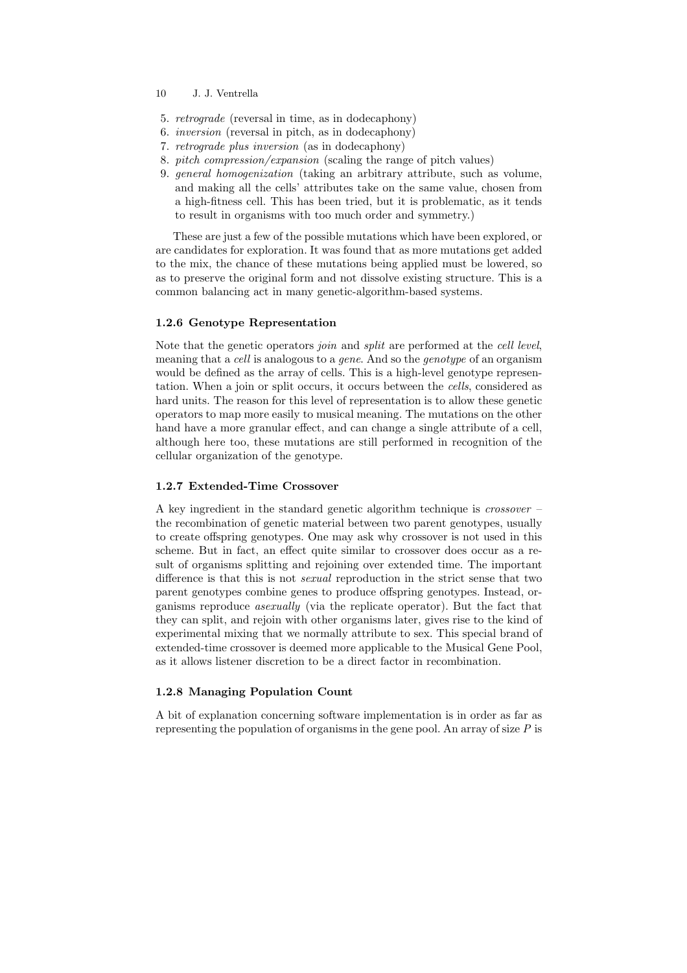- 10 J. J. Ventrella
- 5. retrograde (reversal in time, as in dodecaphony)
- 6. inversion (reversal in pitch, as in dodecaphony)
- 7. retrograde plus inversion (as in dodecaphony)
- 8. pitch compression/expansion (scaling the range of pitch values)
- 9. general homogenization (taking an arbitrary attribute, such as volume, and making all the cells' attributes take on the same value, chosen from a high-fitness cell. This has been tried, but it is problematic, as it tends to result in organisms with too much order and symmetry.)

These are just a few of the possible mutations which have been explored, or are candidates for exploration. It was found that as more mutations get added to the mix, the chance of these mutations being applied must be lowered, so as to preserve the original form and not dissolve existing structure. This is a common balancing act in many genetic-algorithm-based systems.

#### 1.2.6 Genotype Representation

Note that the genetic operators *join* and *split* are performed at the cell level, meaning that a cell is analogous to a *gene*. And so the *genotype* of an organism would be defined as the array of cells. This is a high-level genotype representation. When a join or split occurs, it occurs between the cells, considered as hard units. The reason for this level of representation is to allow these genetic operators to map more easily to musical meaning. The mutations on the other hand have a more granular effect, and can change a single attribute of a cell, although here too, these mutations are still performed in recognition of the cellular organization of the genotype.

# 1.2.7 Extended-Time Crossover

A key ingredient in the standard genetic algorithm technique is crossover – the recombination of genetic material between two parent genotypes, usually to create offspring genotypes. One may ask why crossover is not used in this scheme. But in fact, an effect quite similar to crossover does occur as a result of organisms splitting and rejoining over extended time. The important difference is that this is not sexual reproduction in the strict sense that two parent genotypes combine genes to produce offspring genotypes. Instead, organisms reproduce asexually (via the replicate operator). But the fact that they can split, and rejoin with other organisms later, gives rise to the kind of experimental mixing that we normally attribute to sex. This special brand of extended-time crossover is deemed more applicable to the Musical Gene Pool, as it allows listener discretion to be a direct factor in recombination.

# 1.2.8 Managing Population Count

A bit of explanation concerning software implementation is in order as far as representing the population of organisms in the gene pool. An array of size  $P$  is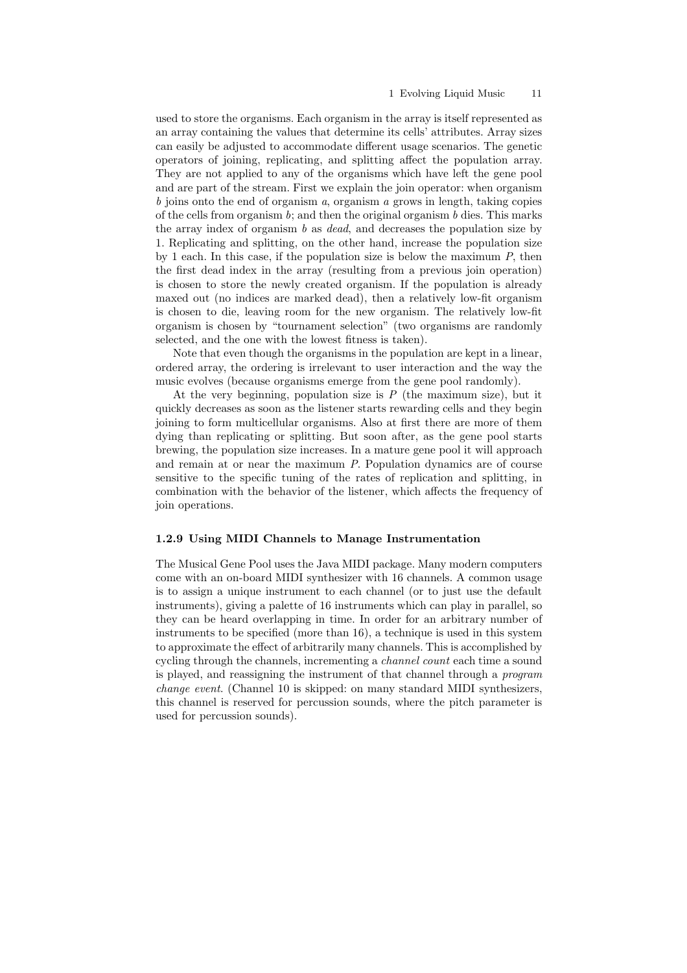used to store the organisms. Each organism in the array is itself represented as an array containing the values that determine its cells' attributes. Array sizes can easily be adjusted to accommodate different usage scenarios. The genetic operators of joining, replicating, and splitting affect the population array. They are not applied to any of the organisms which have left the gene pool and are part of the stream. First we explain the join operator: when organism b joins onto the end of organism a, organism a grows in length, taking copies of the cells from organism  $b$ ; and then the original organism  $b$  dies. This marks the array index of organism  $b$  as *dead*, and decreases the population size by 1. Replicating and splitting, on the other hand, increase the population size by 1 each. In this case, if the population size is below the maximum  $P$ , then the first dead index in the array (resulting from a previous join operation) is chosen to store the newly created organism. If the population is already maxed out (no indices are marked dead), then a relatively low-fit organism is chosen to die, leaving room for the new organism. The relatively low-fit organism is chosen by "tournament selection" (two organisms are randomly selected, and the one with the lowest fitness is taken).

Note that even though the organisms in the population are kept in a linear, ordered array, the ordering is irrelevant to user interaction and the way the music evolves (because organisms emerge from the gene pool randomly).

At the very beginning, population size is  $P$  (the maximum size), but it quickly decreases as soon as the listener starts rewarding cells and they begin joining to form multicellular organisms. Also at first there are more of them dying than replicating or splitting. But soon after, as the gene pool starts brewing, the population size increases. In a mature gene pool it will approach and remain at or near the maximum P. Population dynamics are of course sensitive to the specific tuning of the rates of replication and splitting, in combination with the behavior of the listener, which affects the frequency of join operations.

#### 1.2.9 Using MIDI Channels to Manage Instrumentation

The Musical Gene Pool uses the Java MIDI package. Many modern computers come with an on-board MIDI synthesizer with 16 channels. A common usage is to assign a unique instrument to each channel (or to just use the default instruments), giving a palette of 16 instruments which can play in parallel, so they can be heard overlapping in time. In order for an arbitrary number of instruments to be specified (more than 16), a technique is used in this system to approximate the effect of arbitrarily many channels. This is accomplished by cycling through the channels, incrementing a *channel count* each time a sound is played, and reassigning the instrument of that channel through a program change event. (Channel 10 is skipped: on many standard MIDI synthesizers, this channel is reserved for percussion sounds, where the pitch parameter is used for percussion sounds).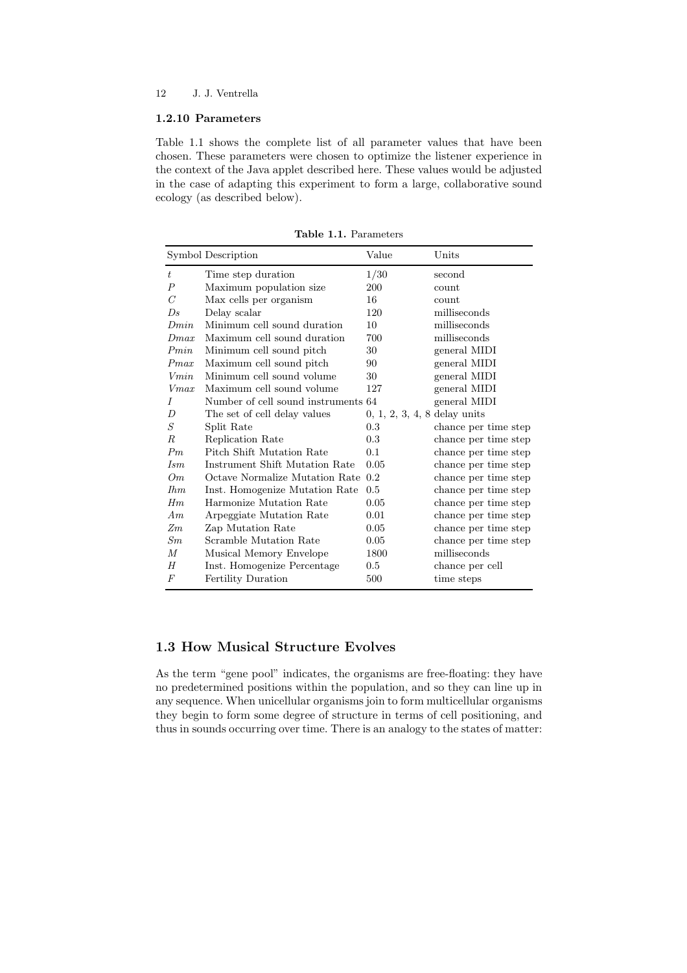#### 1.2.10 Parameters

Table 1.1 shows the complete list of all parameter values that have been chosen. These parameters were chosen to optimize the listener experience in the context of the Java applet described here. These values would be adjusted in the case of adapting this experiment to form a large, collaborative sound ecology (as described below).

|                  | Symbol Description                  | Value                          | Units                |
|------------------|-------------------------------------|--------------------------------|----------------------|
| t                | Time step duration                  | 1/30                           | second               |
| $\boldsymbol{P}$ | Maximum population size             | 200                            | count                |
| $\overline{C}$   | Max cells per organism              | 16                             | count                |
| D <sub>s</sub>   | Delay scalar                        | 120                            | milliseconds         |
| Dmin             | Minimum cell sound duration         | 10                             | milliseconds         |
| Dmax             | Maximum cell sound duration         | 700                            | milliseconds         |
| Pmin             | Minimum cell sound pitch            | 30                             | general MIDI         |
| Pmax             | Maximum cell sound pitch            | 90                             | general MIDI         |
| Vmin             | Minimum cell sound volume           | 30                             | general MIDI         |
| Vmax             | Maximum cell sound volume           | 127                            | general MIDI         |
| $\overline{I}$   | Number of cell sound instruments 64 |                                | general MIDI         |
| D                | The set of cell delay values        | $0, 1, 2, 3, 4, 8$ delay units |                      |
| S                | Split Rate                          | 0.3                            | chance per time step |
| R.               | Replication Rate                    | 0.3                            | chance per time step |
| Pm               | Pitch Shift Mutation Rate           | 0.1                            | chance per time step |
| $I$ sm           | Instrument Shift Mutation Rate      | 0.05                           | chance per time step |
| Om               | Octave Normalize Mutation Rate      | 0.2                            | chance per time step |
| $I$ <i>hm</i>    | Inst. Homogenize Mutation Rate      | 0.5                            | chance per time step |
| Hm               | Harmonize Mutation Rate             | 0.05                           | chance per time step |
| Am               | Arpeggiate Mutation Rate            | 0.01                           | chance per time step |
| Zm               | Zap Mutation Rate                   | 0.05                           | chance per time step |
| Sm               | Scramble Mutation Rate              | 0.05                           | chance per time step |
| M                | Musical Memory Envelope             | 1800                           | milliseconds         |
| H                | Inst. Homogenize Percentage         | 0.5                            | chance per cell      |
| F                | <b>Fertility Duration</b>           | 500                            | time steps           |
|                  |                                     |                                |                      |

Table 1.1. Parameters

# 1.3 How Musical Structure Evolves

As the term "gene pool" indicates, the organisms are free-floating: they have no predetermined positions within the population, and so they can line up in any sequence. When unicellular organisms join to form multicellular organisms they begin to form some degree of structure in terms of cell positioning, and thus in sounds occurring over time. There is an analogy to the states of matter: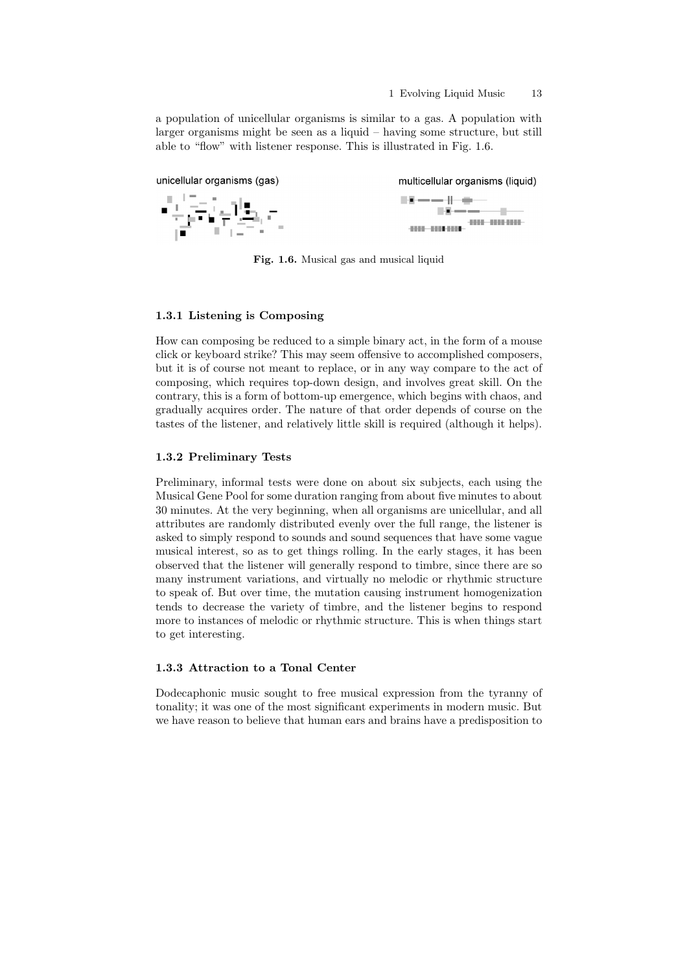a population of unicellular organisms is similar to a gas. A population with larger organisms might be seen as a liquid – having some structure, but still able to "flow" with listener response. This is illustrated in Fig. 1.6.

unicellular organisms (gas)

multicellular organisms (liquid)



Fig. 1.6. Musical gas and musical liquid

#### 1.3.1 Listening is Composing

How can composing be reduced to a simple binary act, in the form of a mouse click or keyboard strike? This may seem offensive to accomplished composers, but it is of course not meant to replace, or in any way compare to the act of composing, which requires top-down design, and involves great skill. On the contrary, this is a form of bottom-up emergence, which begins with chaos, and gradually acquires order. The nature of that order depends of course on the tastes of the listener, and relatively little skill is required (although it helps).

#### 1.3.2 Preliminary Tests

Preliminary, informal tests were done on about six subjects, each using the Musical Gene Pool for some duration ranging from about five minutes to about 30 minutes. At the very beginning, when all organisms are unicellular, and all attributes are randomly distributed evenly over the full range, the listener is asked to simply respond to sounds and sound sequences that have some vague musical interest, so as to get things rolling. In the early stages, it has been observed that the listener will generally respond to timbre, since there are so many instrument variations, and virtually no melodic or rhythmic structure to speak of. But over time, the mutation causing instrument homogenization tends to decrease the variety of timbre, and the listener begins to respond more to instances of melodic or rhythmic structure. This is when things start to get interesting.

#### 1.3.3 Attraction to a Tonal Center

Dodecaphonic music sought to free musical expression from the tyranny of tonality; it was one of the most significant experiments in modern music. But we have reason to believe that human ears and brains have a predisposition to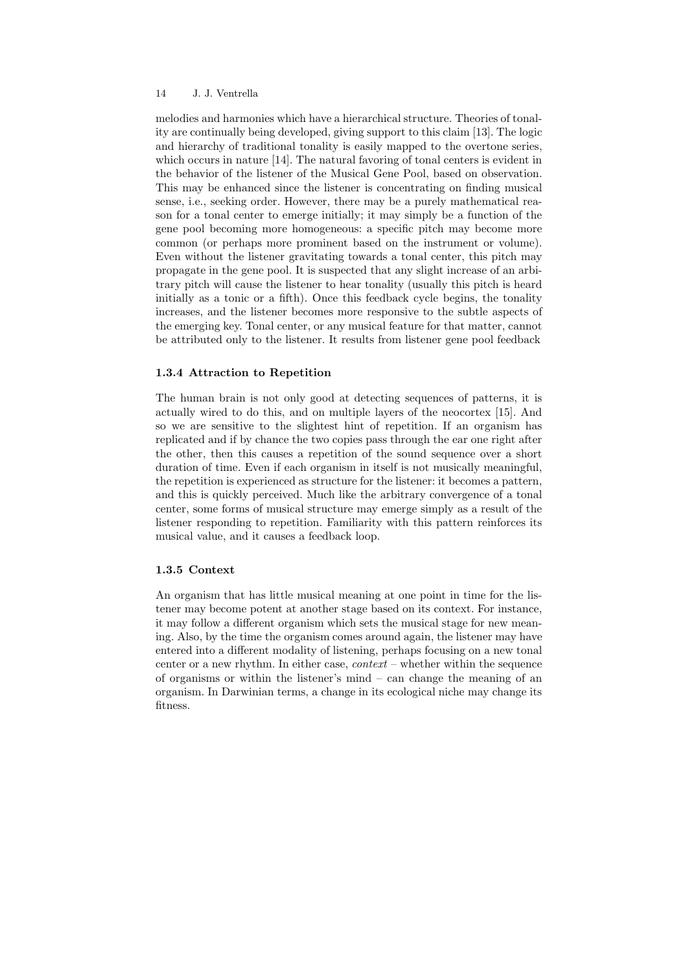melodies and harmonies which have a hierarchical structure. Theories of tonality are continually being developed, giving support to this claim [13]. The logic and hierarchy of traditional tonality is easily mapped to the overtone series, which occurs in nature [14]. The natural favoring of tonal centers is evident in the behavior of the listener of the Musical Gene Pool, based on observation. This may be enhanced since the listener is concentrating on finding musical sense, i.e., seeking order. However, there may be a purely mathematical reason for a tonal center to emerge initially; it may simply be a function of the gene pool becoming more homogeneous: a specific pitch may become more common (or perhaps more prominent based on the instrument or volume). Even without the listener gravitating towards a tonal center, this pitch may propagate in the gene pool. It is suspected that any slight increase of an arbitrary pitch will cause the listener to hear tonality (usually this pitch is heard initially as a tonic or a fifth). Once this feedback cycle begins, the tonality increases, and the listener becomes more responsive to the subtle aspects of the emerging key. Tonal center, or any musical feature for that matter, cannot be attributed only to the listener. It results from listener gene pool feedback

#### 1.3.4 Attraction to Repetition

The human brain is not only good at detecting sequences of patterns, it is actually wired to do this, and on multiple layers of the neocortex [15]. And so we are sensitive to the slightest hint of repetition. If an organism has replicated and if by chance the two copies pass through the ear one right after the other, then this causes a repetition of the sound sequence over a short duration of time. Even if each organism in itself is not musically meaningful, the repetition is experienced as structure for the listener: it becomes a pattern, and this is quickly perceived. Much like the arbitrary convergence of a tonal center, some forms of musical structure may emerge simply as a result of the listener responding to repetition. Familiarity with this pattern reinforces its musical value, and it causes a feedback loop.

#### 1.3.5 Context

An organism that has little musical meaning at one point in time for the listener may become potent at another stage based on its context. For instance, it may follow a different organism which sets the musical stage for new meaning. Also, by the time the organism comes around again, the listener may have entered into a different modality of listening, perhaps focusing on a new tonal center or a new rhythm. In either case,  $context$  – whether within the sequence of organisms or within the listener's mind – can change the meaning of an organism. In Darwinian terms, a change in its ecological niche may change its fitness.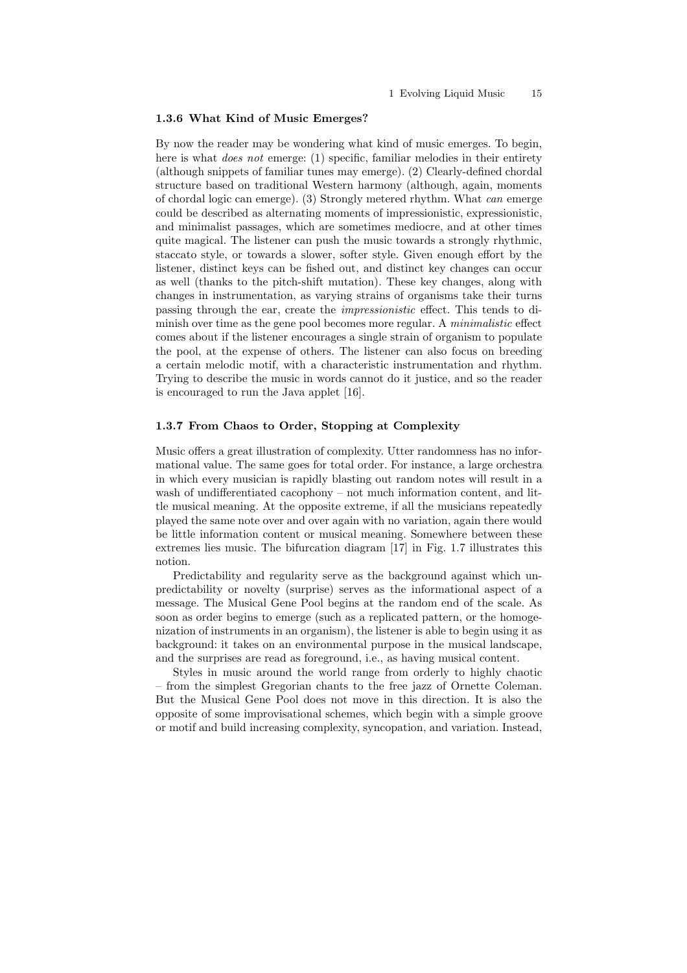#### 1.3.6 What Kind of Music Emerges?

By now the reader may be wondering what kind of music emerges. To begin, here is what *does not* emerge: (1) specific, familiar melodies in their entirety (although snippets of familiar tunes may emerge). (2) Clearly-defined chordal structure based on traditional Western harmony (although, again, moments of chordal logic can emerge). (3) Strongly metered rhythm. What can emerge could be described as alternating moments of impressionistic, expressionistic, and minimalist passages, which are sometimes mediocre, and at other times quite magical. The listener can push the music towards a strongly rhythmic, staccato style, or towards a slower, softer style. Given enough effort by the listener, distinct keys can be fished out, and distinct key changes can occur as well (thanks to the pitch-shift mutation). These key changes, along with changes in instrumentation, as varying strains of organisms take their turns passing through the ear, create the impressionistic effect. This tends to diminish over time as the gene pool becomes more regular. A minimalistic effect comes about if the listener encourages a single strain of organism to populate the pool, at the expense of others. The listener can also focus on breeding a certain melodic motif, with a characteristic instrumentation and rhythm. Trying to describe the music in words cannot do it justice, and so the reader is encouraged to run the Java applet [16].

#### 1.3.7 From Chaos to Order, Stopping at Complexity

Music offers a great illustration of complexity. Utter randomness has no informational value. The same goes for total order. For instance, a large orchestra in which every musician is rapidly blasting out random notes will result in a wash of undifferentiated cacophony – not much information content, and little musical meaning. At the opposite extreme, if all the musicians repeatedly played the same note over and over again with no variation, again there would be little information content or musical meaning. Somewhere between these extremes lies music. The bifurcation diagram [17] in Fig. 1.7 illustrates this notion.

Predictability and regularity serve as the background against which unpredictability or novelty (surprise) serves as the informational aspect of a message. The Musical Gene Pool begins at the random end of the scale. As soon as order begins to emerge (such as a replicated pattern, or the homogenization of instruments in an organism), the listener is able to begin using it as background: it takes on an environmental purpose in the musical landscape, and the surprises are read as foreground, i.e., as having musical content.

Styles in music around the world range from orderly to highly chaotic – from the simplest Gregorian chants to the free jazz of Ornette Coleman. But the Musical Gene Pool does not move in this direction. It is also the opposite of some improvisational schemes, which begin with a simple groove or motif and build increasing complexity, syncopation, and variation. Instead,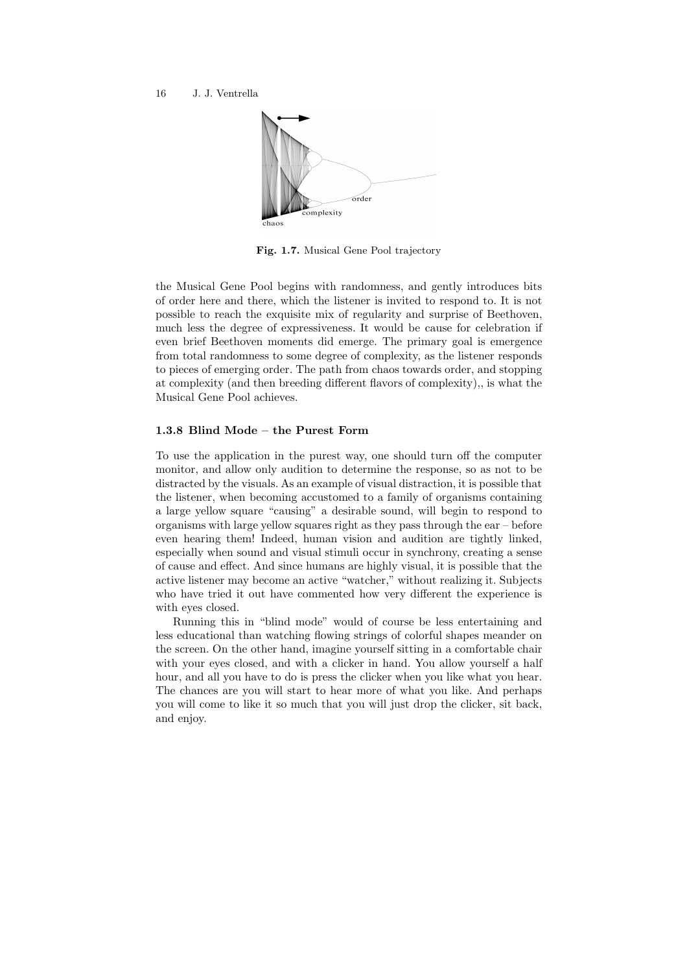

Fig. 1.7. Musical Gene Pool trajectory

the Musical Gene Pool begins with randomness, and gently introduces bits of order here and there, which the listener is invited to respond to. It is not possible to reach the exquisite mix of regularity and surprise of Beethoven, much less the degree of expressiveness. It would be cause for celebration if even brief Beethoven moments did emerge. The primary goal is emergence from total randomness to some degree of complexity, as the listener responds to pieces of emerging order. The path from chaos towards order, and stopping at complexity (and then breeding different flavors of complexity),, is what the Musical Gene Pool achieves.

## 1.3.8 Blind Mode – the Purest Form

To use the application in the purest way, one should turn off the computer monitor, and allow only audition to determine the response, so as not to be distracted by the visuals. As an example of visual distraction, it is possible that the listener, when becoming accustomed to a family of organisms containing a large yellow square "causing" a desirable sound, will begin to respond to organisms with large yellow squares right as they pass through the ear – before even hearing them! Indeed, human vision and audition are tightly linked, especially when sound and visual stimuli occur in synchrony, creating a sense of cause and effect. And since humans are highly visual, it is possible that the active listener may become an active "watcher," without realizing it. Subjects who have tried it out have commented how very different the experience is with eyes closed.

Running this in "blind mode" would of course be less entertaining and less educational than watching flowing strings of colorful shapes meander on the screen. On the other hand, imagine yourself sitting in a comfortable chair with your eyes closed, and with a clicker in hand. You allow yourself a half hour, and all you have to do is press the clicker when you like what you hear. The chances are you will start to hear more of what you like. And perhaps you will come to like it so much that you will just drop the clicker, sit back, and enjoy.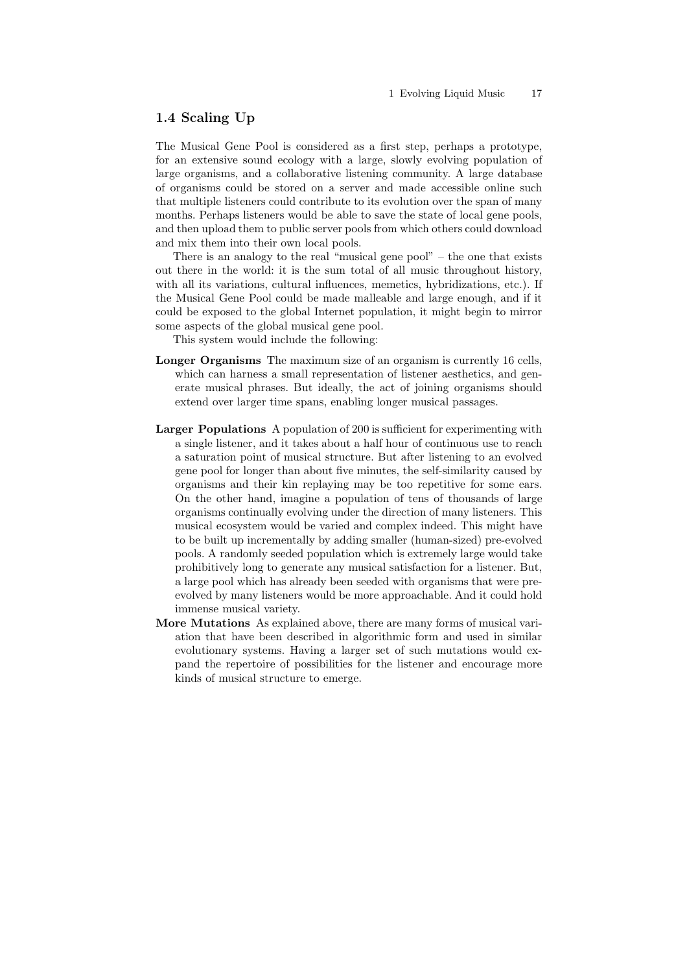# 1.4 Scaling Up

The Musical Gene Pool is considered as a first step, perhaps a prototype, for an extensive sound ecology with a large, slowly evolving population of large organisms, and a collaborative listening community. A large database of organisms could be stored on a server and made accessible online such that multiple listeners could contribute to its evolution over the span of many months. Perhaps listeners would be able to save the state of local gene pools, and then upload them to public server pools from which others could download and mix them into their own local pools.

There is an analogy to the real "musical gene pool" – the one that exists out there in the world: it is the sum total of all music throughout history, with all its variations, cultural influences, memetics, hybridizations, etc.). If the Musical Gene Pool could be made malleable and large enough, and if it could be exposed to the global Internet population, it might begin to mirror some aspects of the global musical gene pool.

This system would include the following:

- Longer Organisms The maximum size of an organism is currently 16 cells, which can harness a small representation of listener aesthetics, and generate musical phrases. But ideally, the act of joining organisms should extend over larger time spans, enabling longer musical passages.
- Larger Populations A population of 200 is sufficient for experimenting with a single listener, and it takes about a half hour of continuous use to reach a saturation point of musical structure. But after listening to an evolved gene pool for longer than about five minutes, the self-similarity caused by organisms and their kin replaying may be too repetitive for some ears. On the other hand, imagine a population of tens of thousands of large organisms continually evolving under the direction of many listeners. This musical ecosystem would be varied and complex indeed. This might have to be built up incrementally by adding smaller (human-sized) pre-evolved pools. A randomly seeded population which is extremely large would take prohibitively long to generate any musical satisfaction for a listener. But, a large pool which has already been seeded with organisms that were preevolved by many listeners would be more approachable. And it could hold immense musical variety.
- More Mutations As explained above, there are many forms of musical variation that have been described in algorithmic form and used in similar evolutionary systems. Having a larger set of such mutations would expand the repertoire of possibilities for the listener and encourage more kinds of musical structure to emerge.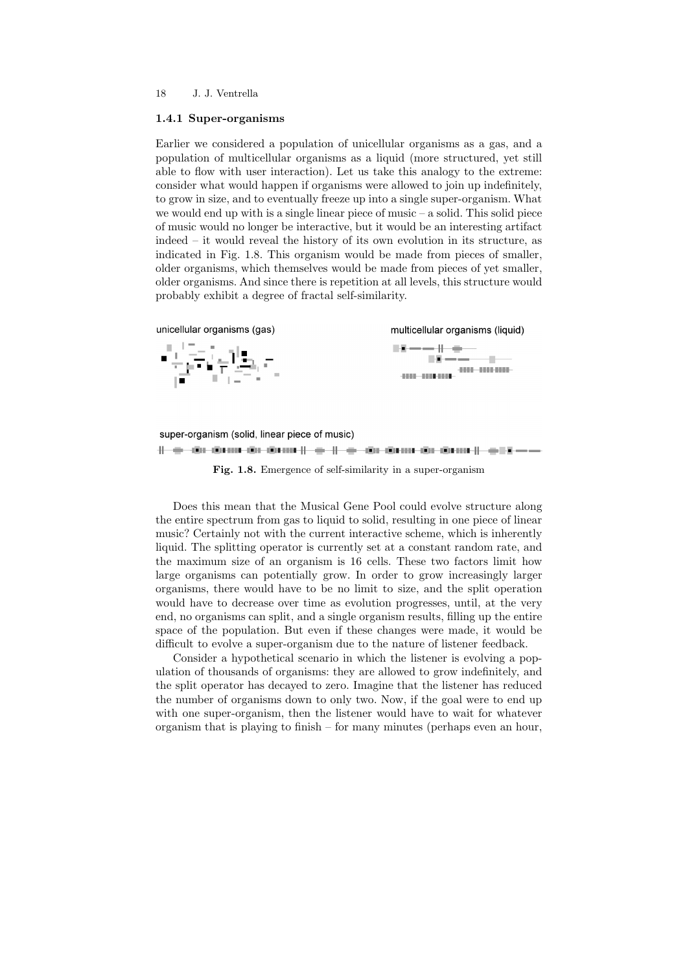#### 1.4.1 Super-organisms

Earlier we considered a population of unicellular organisms as a gas, and a population of multicellular organisms as a liquid (more structured, yet still able to flow with user interaction). Let us take this analogy to the extreme: consider what would happen if organisms were allowed to join up indefinitely, to grow in size, and to eventually freeze up into a single super-organism. What we would end up with is a single linear piece of music  $-$  a solid. This solid piece of music would no longer be interactive, but it would be an interesting artifact indeed – it would reveal the history of its own evolution in its structure, as indicated in Fig. 1.8. This organism would be made from pieces of smaller, older organisms, which themselves would be made from pieces of yet smaller, older organisms. And since there is repetition at all levels, this structure would probably exhibit a degree of fractal self-similarity.





Fig. 1.8. Emergence of self-similarity in a super-organism

Does this mean that the Musical Gene Pool could evolve structure along the entire spectrum from gas to liquid to solid, resulting in one piece of linear music? Certainly not with the current interactive scheme, which is inherently liquid. The splitting operator is currently set at a constant random rate, and the maximum size of an organism is 16 cells. These two factors limit how large organisms can potentially grow. In order to grow increasingly larger organisms, there would have to be no limit to size, and the split operation would have to decrease over time as evolution progresses, until, at the very end, no organisms can split, and a single organism results, filling up the entire space of the population. But even if these changes were made, it would be difficult to evolve a super-organism due to the nature of listener feedback.

Consider a hypothetical scenario in which the listener is evolving a population of thousands of organisms: they are allowed to grow indefinitely, and the split operator has decayed to zero. Imagine that the listener has reduced the number of organisms down to only two. Now, if the goal were to end up with one super-organism, then the listener would have to wait for whatever organism that is playing to finish – for many minutes (perhaps even an hour,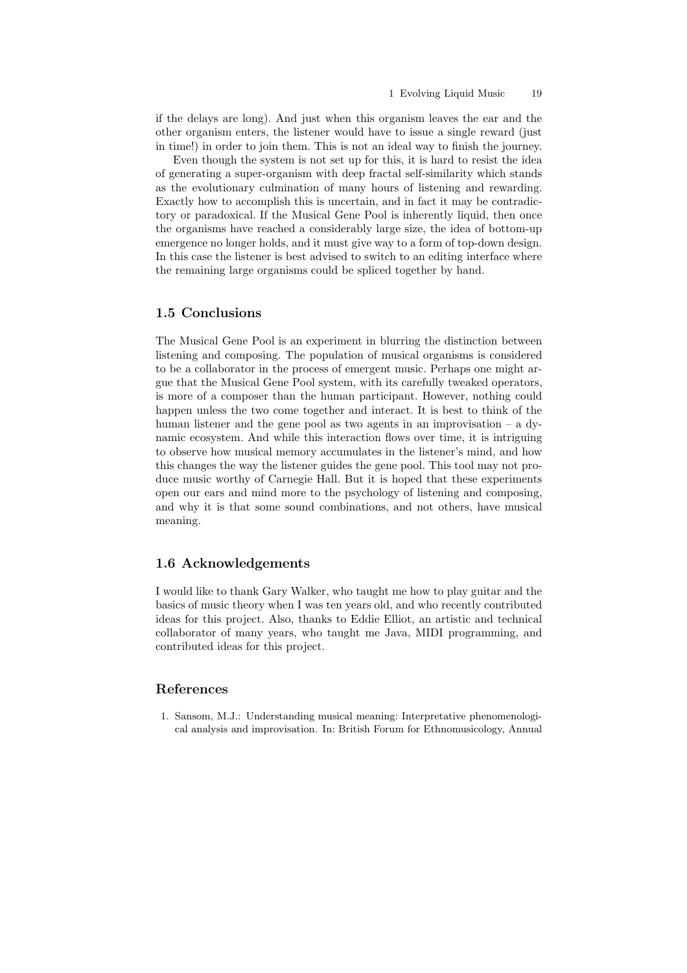if the delays are long). And just when this organism leaves the ear and the other organism enters, the listener would have to issue a single reward (just in time!) in order to join them. This is not an ideal way to finish the journey.

Even though the system is not set up for this, it is hard to resist the idea of generating a super-organism with deep fractal self-similarity which stands as the evolutionary culmination of many hours of listening and rewarding. Exactly how to accomplish this is uncertain, and in fact it may be contradictory or paradoxical. If the Musical Gene Pool is inherently liquid, then once the organisms have reached a considerably large size, the idea of bottom-up emergence no longer holds, and it must give way to a form of top-down design. In this case the listener is best advised to switch to an editing interface where the remaining large organisms could be spliced together by hand.

# 1.5 Conclusions

The Musical Gene Pool is an experiment in blurring the distinction between listening and composing. The population of musical organisms is considered to be a collaborator in the process of emergent music. Perhaps one might argue that the Musical Gene Pool system, with its carefully tweaked operators, is more of a composer than the human participant. However, nothing could happen unless the two come together and interact. It is best to think of the human listener and the gene pool as two agents in an improvisation  $-$  a dynamic ecosystem. And while this interaction flows over time, it is intriguing to observe how musical memory accumulates in the listener's mind, and how this changes the way the listener guides the gene pool. This tool may not produce music worthy of Carnegie Hall. But it is hoped that these experiments open our ears and mind more to the psychology of listening and composing, and why it is that some sound combinations, and not others, have musical meaning.

# 1.6 Acknowledgements

I would like to thank Gary Walker, who taught me how to play guitar and the basics of music theory when I was ten years old, and who recently contributed ideas for this project. Also, thanks to Eddie Elliot, an artistic and technical collaborator of many years, who taught me Java, MIDI programming, and contributed ideas for this project.

# References

1. Sansom, M.J.: Understanding musical meaning: Interpretative phenomenological analysis and improvisation. In: British Forum for Ethnomusicology, Annual